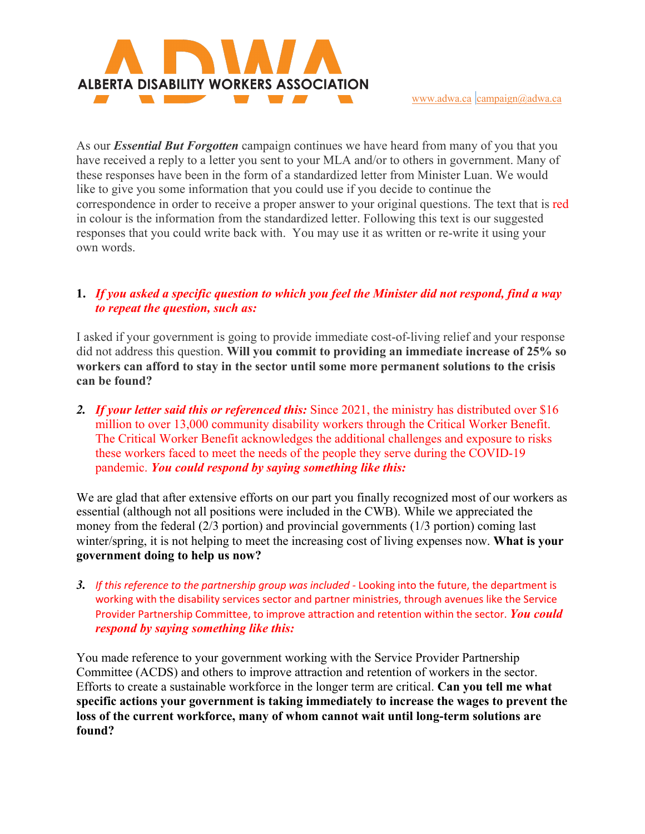

As our *Essential But Forgotten* campaign continues we have heard from many of you that you have received a reply to a letter you sent to your MLA and/or to others in government. Many of these responses have been in the form of a standardized letter from Minister Luan. We would like to give you some information that you could use if you decide to continue the correspondence in order to receive a proper answer to your original questions. The text that is red in colour is the information from the standardized letter. Following this text is our suggested responses that you could write back with. You may use it as written or re-write it using your own words.

## **1.** *If you asked a specific question to which you feel the Minister did not respond, find a way to repeat the question, such as:*

I asked if your government is going to provide immediate cost-of-living relief and your response did not address this question. **Will you commit to providing an immediate increase of 25% so workers can afford to stay in the sector until some more permanent solutions to the crisis can be found?**

*2. If your letter said this or referenced this:* Since 2021, the ministry has distributed over \$16 million to over 13,000 community disability workers through the Critical Worker Benefit. The Critical Worker Benefit acknowledges the additional challenges and exposure to risks these workers faced to meet the needs of the people they serve during the COVID-19 pandemic. *You could respond by saying something like this:*

We are glad that after extensive efforts on our part you finally recognized most of our workers as essential (although not all positions were included in the CWB). While we appreciated the money from the federal (2/3 portion) and provincial governments (1/3 portion) coming last winter/spring, it is not helping to meet the increasing cost of living expenses now. **What is your government doing to help us now?**

*3. If this reference to the partnership group was included -* Looking into the future, the department is working with the disability services sector and partner ministries, through avenues like the Service Provider Partnership Committee, to improve attraction and retention within the sector. *You could respond by saying something like this:*

You made reference to your government working with the Service Provider Partnership Committee (ACDS) and others to improve attraction and retention of workers in the sector. Efforts to create a sustainable workforce in the longer term are critical. **Can you tell me what specific actions your government is taking immediately to increase the wages to prevent the loss of the current workforce, many of whom cannot wait until long-term solutions are found?**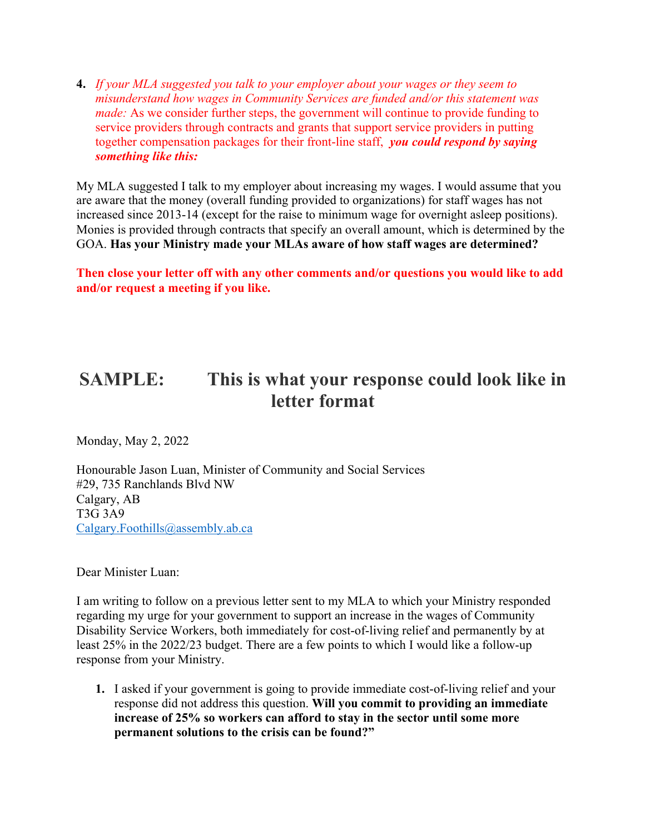**4.** *If your MLA suggested you talk to your employer about your wages or they seem to misunderstand how wages in Community Services are funded and/or this statement was made:* As we consider further steps, the government will continue to provide funding to service providers through contracts and grants that support service providers in putting together compensation packages for their front-line staff, *you could respond by saying something like this:*

My MLA suggested I talk to my employer about increasing my wages. I would assume that you are aware that the money (overall funding provided to organizations) for staff wages has not increased since 2013-14 (except for the raise to minimum wage for overnight asleep positions). Monies is provided through contracts that specify an overall amount, which is determined by the GOA. **Has your Ministry made your MLAs aware of how staff wages are determined?**

**Then close your letter off with any other comments and/or questions you would like to add and/or request a meeting if you like.** 

## **SAMPLE: This is what your response could look like in letter format**

Monday, May 2, 2022

Honourable Jason Luan, Minister of Community and Social Services #29, 735 Ranchlands Blvd NW Calgary, AB T3G 3A9 Calgary.Foothills@assembly.ab.ca

Dear Minister Luan:

I am writing to follow on a previous letter sent to my MLA to which your Ministry responded regarding my urge for your government to support an increase in the wages of Community Disability Service Workers, both immediately for cost-of-living relief and permanently by at least 25% in the 2022/23 budget. There are a few points to which I would like a follow-up response from your Ministry.

**1.** I asked if your government is going to provide immediate cost-of-living relief and your response did not address this question. **Will you commit to providing an immediate increase of 25% so workers can afford to stay in the sector until some more permanent solutions to the crisis can be found?"**